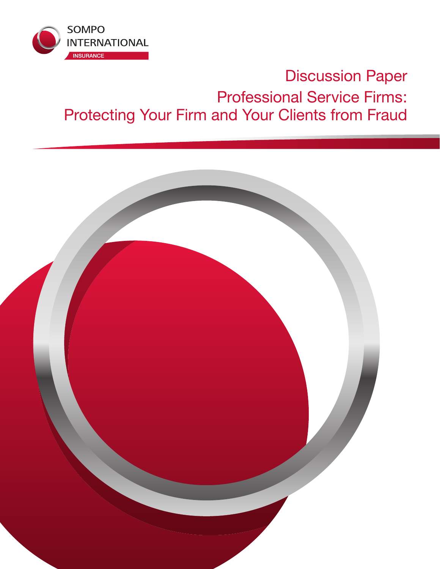

# Discussion Paper Professional Service Firms: Protecting Your Firm and Your Clients from Fraud

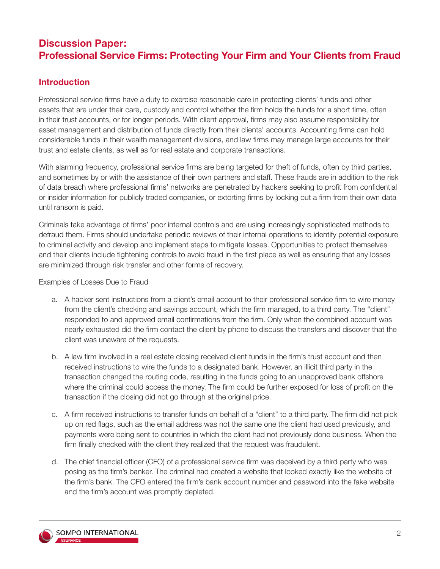## **Discussion Paper: Professional Service Firms: Protecting Your Firm and Your Clients from Fraud**

## **Introduction**

Professional service firms have a duty to exercise reasonable care in protecting clients' funds and other assets that are under their care, custody and control whether the firm holds the funds for a short time, often in their trust accounts, or for longer periods. With client approval, firms may also assume responsibility for asset management and distribution of funds directly from their clients' accounts. Accounting firms can hold considerable funds in their wealth management divisions, and law firms may manage large accounts for their trust and estate clients, as well as for real estate and corporate transactions.

With alarming frequency, professional service firms are being targeted for theft of funds, often by third parties, and sometimes by or with the assistance of their own partners and staff. These frauds are in addition to the risk of data breach where professional firms' networks are penetrated by hackers seeking to profit from confidential or insider information for publicly traded companies, or extorting firms by locking out a firm from their own data until ransom is paid.

Criminals take advantage of firms' poor internal controls and are using increasingly sophisticated methods to defraud them. Firms should undertake periodic reviews of their internal operations to identify potential exposure to criminal activity and develop and implement steps to mitigate losses. Opportunities to protect themselves and their clients include tightening controls to avoid fraud in the first place as well as ensuring that any losses are minimized through risk transfer and other forms of recovery.

Examples of Losses Due to Fraud

- a. A hacker sent instructions from a client's email account to their professional service firm to wire money from the client's checking and savings account, which the firm managed, to a third party. The "client" responded to and approved email confirmations from the firm. Only when the combined account was nearly exhausted did the firm contact the client by phone to discuss the transfers and discover that the client was unaware of the requests.
- b. A law firm involved in a real estate closing received client funds in the firm's trust account and then received instructions to wire the funds to a designated bank. However, an illicit third party in the transaction changed the routing code, resulting in the funds going to an unapproved bank offshore where the criminal could access the money. The firm could be further exposed for loss of profit on the transaction if the closing did not go through at the original price.
- c. A firm received instructions to transfer funds on behalf of a "client" to a third party. The firm did not pick up on red flags, such as the email address was not the same one the client had used previously, and payments were being sent to countries in which the client had not previously done business. When the firm finally checked with the client they realized that the request was fraudulent.
- d. The chief financial officer (CFO) of a professional service firm was deceived by a third party who was posing as the firm's banker. The criminal had created a website that looked exactly like the website of the firm's bank. The CFO entered the firm's bank account number and password into the fake website and the firm's account was promptly depleted.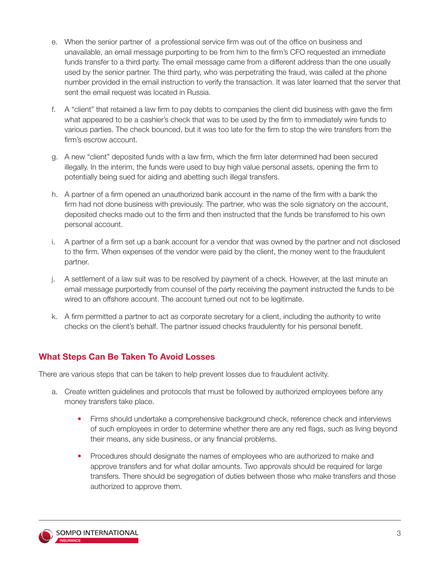- e. When the senior partner of a professional service firm was out of the office on business and unavailable, an email message purporting to be from him to the firm's CFO requested an immediate funds transfer to a third party. The email message came from a different address than the one usually used by the senior partner. The third party, who was perpetrating the fraud, was called at the phone number provided in the email instruction to verify the transaction. It was later learned that the server that sent the email request was located in Russia.
- f. A "client" that retained a law firm to pay debts to companies the client did business with gave the firm what appeared to be a cashier's check that was to be used by the firm to immediately wire funds to various parties. The check bounced, but it was too late for the firm to stop the wire transfers from the firm's escrow account.
- g. A new "client" deposited funds with a law firm, which the firm later determined had been secured illegally. In the interim, the funds were used to buy high value personal assets, opening the firm to potentially being sued for aiding and abetting such illegal transfers.
- h. A partner of a firm opened an unauthorized bank account in the name of the firm with a bank the firm had not done business with previously. The partner, who was the sole signatory on the account, deposited checks made out to the firm and then instructed that the funds be transferred to his own personal account.
- i. A partner of a firm set up a bank account for a vendor that was owned by the partner and not disclosed to the firm. When expenses of the vendor were paid by the client, the money went to the fraudulent partner.
- j. A settlement of a law suit was to be resolved by payment of a check. However, at the last minute an email message purportedly from counsel of the party receiving the payment instructed the funds to be wired to an offshore account. The account turned out not to be legitimate.
- k. A firm permitted a partner to act as corporate secretary for a client, including the authority to write checks on the client's behalf. The partner issued checks fraudulently for his personal benefit.

## **What Steps Can Be Taken To Avoid Losses**

There are various steps that can be taken to help prevent losses due to fraudulent activity.

- a. Create written guidelines and protocols that must be followed by authorized employees before any money transfers take place.
	- Firms should undertake a comprehensive background check, reference check and interviews of such employees in order to determine whether there are any red flags, such as living beyond their means, any side business, or any financial problems.
	- Procedures should designate the names of employees who are authorized to make and approve transfers and for what dollar amounts. Two approvals should be required for large transfers. There should be segregation of duties between those who make transfers and those authorized to approve them.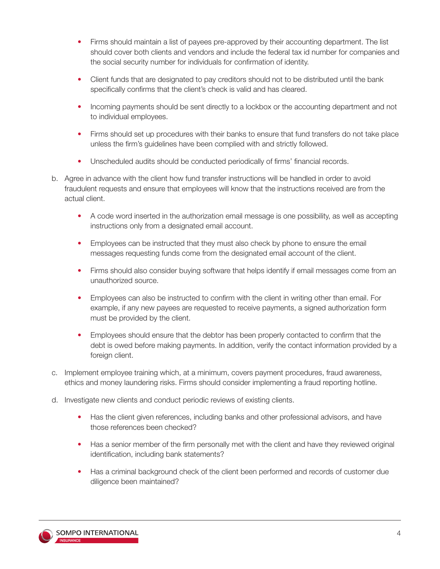- Firms should maintain a list of payees pre-approved by their accounting department. The list should cover both clients and vendors and include the federal tax id number for companies and the social security number for individuals for confirmation of identity.
- Client funds that are designated to pay creditors should not to be distributed until the bank specifically confirms that the client's check is valid and has cleared.
- Incoming payments should be sent directly to a lockbox or the accounting department and not to individual employees.
- Firms should set up procedures with their banks to ensure that fund transfers do not take place unless the firm's guidelines have been complied with and strictly followed.
- Unscheduled audits should be conducted periodically of firms' financial records.
- b. Agree in advance with the client how fund transfer instructions will be handled in order to avoid fraudulent requests and ensure that employees will know that the instructions received are from the actual client.
	- A code word inserted in the authorization email message is one possibility, as well as accepting instructions only from a designated email account.
	- Employees can be instructed that they must also check by phone to ensure the email messages requesting funds come from the designated email account of the client.
	- Firms should also consider buying software that helps identify if email messages come from an unauthorized source.
	- Employees can also be instructed to confirm with the client in writing other than email. For example, if any new payees are requested to receive payments, a signed authorization form must be provided by the client.
	- Employees should ensure that the debtor has been properly contacted to confirm that the debt is owed before making payments. In addition, verify the contact information provided by a foreign client.
- c. Implement employee training which, at a minimum, covers payment procedures, fraud awareness, ethics and money laundering risks. Firms should consider implementing a fraud reporting hotline.
- d. Investigate new clients and conduct periodic reviews of existing clients.
	- Has the client given references, including banks and other professional advisors, and have those references been checked?
	- Has a senior member of the firm personally met with the client and have they reviewed original identification, including bank statements?
	- Has a criminal background check of the client been performed and records of customer due diligence been maintained?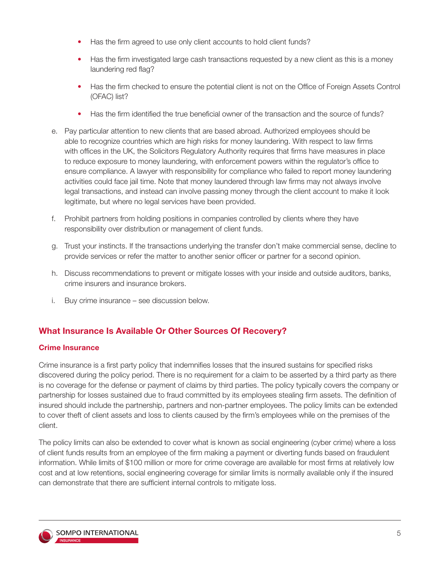- Has the firm agreed to use only client accounts to hold client funds?
- Has the firm investigated large cash transactions requested by a new client as this is a money laundering red flag?
- Has the firm checked to ensure the potential client is not on the Office of Foreign Assets Control (OFAC) list?
- Has the firm identified the true beneficial owner of the transaction and the source of funds?
- e. Pay particular attention to new clients that are based abroad. Authorized employees should be able to recognize countries which are high risks for money laundering. With respect to law firms with offices in the UK, the Solicitors Regulatory Authority requires that firms have measures in place to reduce exposure to money laundering, with enforcement powers within the regulator's office to ensure compliance. A lawyer with responsibility for compliance who failed to report money laundering activities could face jail time. Note that money laundered through law firms may not always involve legal transactions, and instead can involve passing money through the client account to make it look legitimate, but where no legal services have been provided.
- f. Prohibit partners from holding positions in companies controlled by clients where they have responsibility over distribution or management of client funds.
- g. Trust your instincts. If the transactions underlying the transfer don't make commercial sense, decline to provide services or refer the matter to another senior officer or partner for a second opinion.
- h. Discuss recommendations to prevent or mitigate losses with your inside and outside auditors, banks, crime insurers and insurance brokers.
- i. Buy crime insurance see discussion below.

## **What Insurance Is Available Or Other Sources Of Recovery?**

#### **Crime Insurance**

Crime insurance is a first party policy that indemnifies losses that the insured sustains for specified risks discovered during the policy period. There is no requirement for a claim to be asserted by a third party as there is no coverage for the defense or payment of claims by third parties. The policy typically covers the company or partnership for losses sustained due to fraud committed by its employees stealing firm assets. The definition of insured should include the partnership, partners and non-partner employees. The policy limits can be extended to cover theft of client assets and loss to clients caused by the firm's employees while on the premises of the client.

The policy limits can also be extended to cover what is known as social engineering (cyber crime) where a loss of client funds results from an employee of the firm making a payment or diverting funds based on fraudulent information. While limits of \$100 million or more for crime coverage are available for most firms at relatively low cost and at low retentions, social engineering coverage for similar limits is normally available only if the insured can demonstrate that there are sufficient internal controls to mitigate loss.

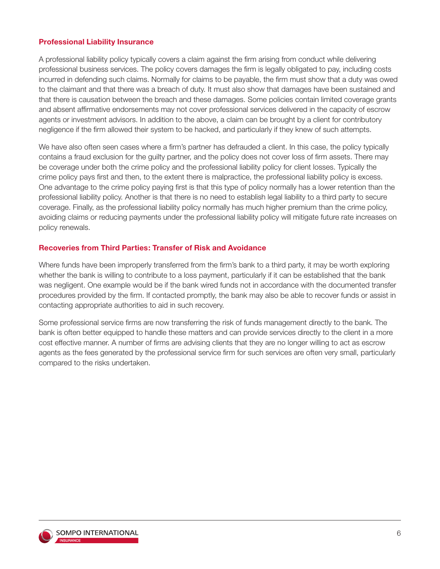#### **Professional Liability Insurance**

A professional liability policy typically covers a claim against the firm arising from conduct while delivering professional business services. The policy covers damages the firm is legally obligated to pay, including costs incurred in defending such claims. Normally for claims to be payable, the firm must show that a duty was owed to the claimant and that there was a breach of duty. It must also show that damages have been sustained and that there is causation between the breach and these damages. Some policies contain limited coverage grants and absent affirmative endorsements may not cover professional services delivered in the capacity of escrow agents or investment advisors. In addition to the above, a claim can be brought by a client for contributory negligence if the firm allowed their system to be hacked, and particularly if they knew of such attempts.

We have also often seen cases where a firm's partner has defrauded a client. In this case, the policy typically contains a fraud exclusion for the guilty partner, and the policy does not cover loss of firm assets. There may be coverage under both the crime policy and the professional liability policy for client losses. Typically the crime policy pays first and then, to the extent there is malpractice, the professional liability policy is excess. One advantage to the crime policy paying first is that this type of policy normally has a lower retention than the professional liability policy. Another is that there is no need to establish legal liability to a third party to secure coverage. Finally, as the professional liability policy normally has much higher premium than the crime policy, avoiding claims or reducing payments under the professional liability policy will mitigate future rate increases on policy renewals.

#### **Recoveries from Third Parties: Transfer of Risk and Avoidance**

Where funds have been improperly transferred from the firm's bank to a third party, it may be worth exploring whether the bank is willing to contribute to a loss payment, particularly if it can be established that the bank was negligent. One example would be if the bank wired funds not in accordance with the documented transfer procedures provided by the firm. If contacted promptly, the bank may also be able to recover funds or assist in contacting appropriate authorities to aid in such recovery.

Some professional service firms are now transferring the risk of funds management directly to the bank. The bank is often better equipped to handle these matters and can provide services directly to the client in a more cost effective manner. A number of firms are advising clients that they are no longer willing to act as escrow agents as the fees generated by the professional service firm for such services are often very small, particularly compared to the risks undertaken.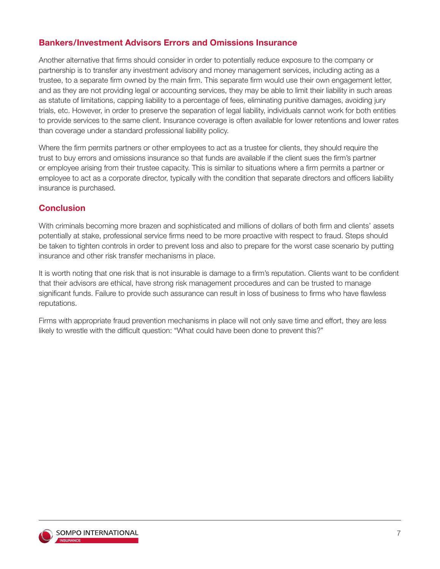## **Bankers/Investment Advisors Errors and Omissions Insurance**

Another alternative that firms should consider in order to potentially reduce exposure to the company or partnership is to transfer any investment advisory and money management services, including acting as a trustee, to a separate firm owned by the main firm. This separate firm would use their own engagement letter, and as they are not providing legal or accounting services, they may be able to limit their liability in such areas as statute of limitations, capping liability to a percentage of fees, eliminating punitive damages, avoiding jury trials, etc. However, in order to preserve the separation of legal liability, individuals cannot work for both entities to provide services to the same client. Insurance coverage is often available for lower retentions and lower rates than coverage under a standard professional liability policy.

Where the firm permits partners or other employees to act as a trustee for clients, they should require the trust to buy errors and omissions insurance so that funds are available if the client sues the firm's partner or employee arising from their trustee capacity. This is similar to situations where a firm permits a partner or employee to act as a corporate director, typically with the condition that separate directors and officers liability insurance is purchased.

## **Conclusion**

With criminals becoming more brazen and sophisticated and millions of dollars of both firm and clients' assets potentially at stake, professional service firms need to be more proactive with respect to fraud. Steps should be taken to tighten controls in order to prevent loss and also to prepare for the worst case scenario by putting insurance and other risk transfer mechanisms in place.

It is worth noting that one risk that is not insurable is damage to a firm's reputation. Clients want to be confident that their advisors are ethical, have strong risk management procedures and can be trusted to manage significant funds. Failure to provide such assurance can result in loss of business to firms who have flawless reputations.

Firms with appropriate fraud prevention mechanisms in place will not only save time and effort, they are less likely to wrestle with the difficult question: "What could have been done to prevent this?"